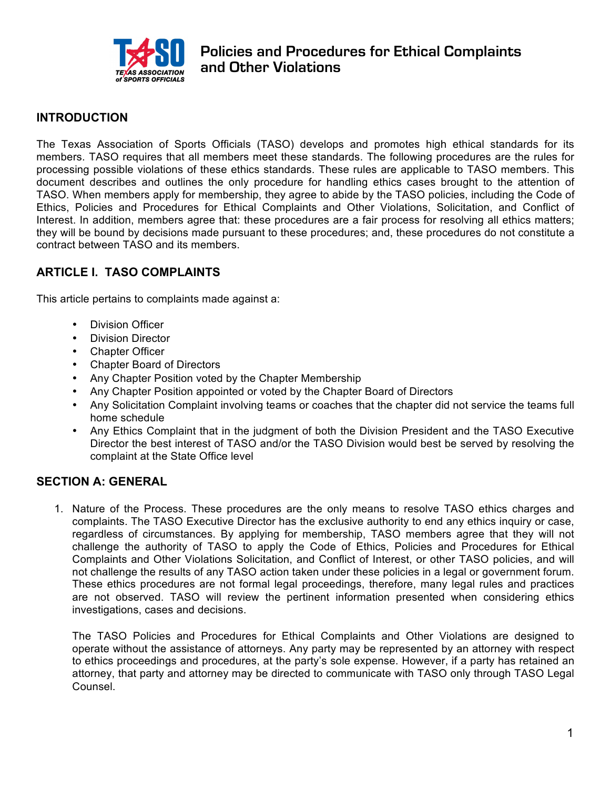

#### **INTRODUCTION**

The Texas Association of Sports Officials (TASO) develops and promotes high ethical standards for its members. TASO requires that all members meet these standards. The following procedures are the rules for processing possible violations of these ethics standards. These rules are applicable to TASO members. This document describes and outlines the only procedure for handling ethics cases brought to the attention of TASO. When members apply for membership, they agree to abide by the TASO policies, including the Code of Ethics, Policies and Procedures for Ethical Complaints and Other Violations, Solicitation, and Conflict of Interest. In addition, members agree that: these procedures are a fair process for resolving all ethics matters; they will be bound by decisions made pursuant to these procedures; and, these procedures do not constitute a contract between TASO and its members.

#### **ARTICLE I. TASO COMPLAINTS**

This article pertains to complaints made against a:

- Division Officer
- Division Director
- Chapter Officer
- Chapter Board of Directors
- Any Chapter Position voted by the Chapter Membership
- Any Chapter Position appointed or voted by the Chapter Board of Directors
- Any Solicitation Complaint involving teams or coaches that the chapter did not service the teams full home schedule
- Any Ethics Complaint that in the judgment of both the Division President and the TASO Executive Director the best interest of TASO and/or the TASO Division would best be served by resolving the complaint at the State Office level

#### **SECTION A: GENERAL**

1. Nature of the Process. These procedures are the only means to resolve TASO ethics charges and complaints. The TASO Executive Director has the exclusive authority to end any ethics inquiry or case, regardless of circumstances. By applying for membership, TASO members agree that they will not challenge the authority of TASO to apply the Code of Ethics, Policies and Procedures for Ethical Complaints and Other Violations Solicitation, and Conflict of Interest, or other TASO policies, and will not challenge the results of any TASO action taken under these policies in a legal or government forum. These ethics procedures are not formal legal proceedings, therefore, many legal rules and practices are not observed. TASO will review the pertinent information presented when considering ethics investigations, cases and decisions.

The TASO Policies and Procedures for Ethical Complaints and Other Violations are designed to operate without the assistance of attorneys. Any party may be represented by an attorney with respect to ethics proceedings and procedures, at the party's sole expense. However, if a party has retained an attorney, that party and attorney may be directed to communicate with TASO only through TASO Legal Counsel.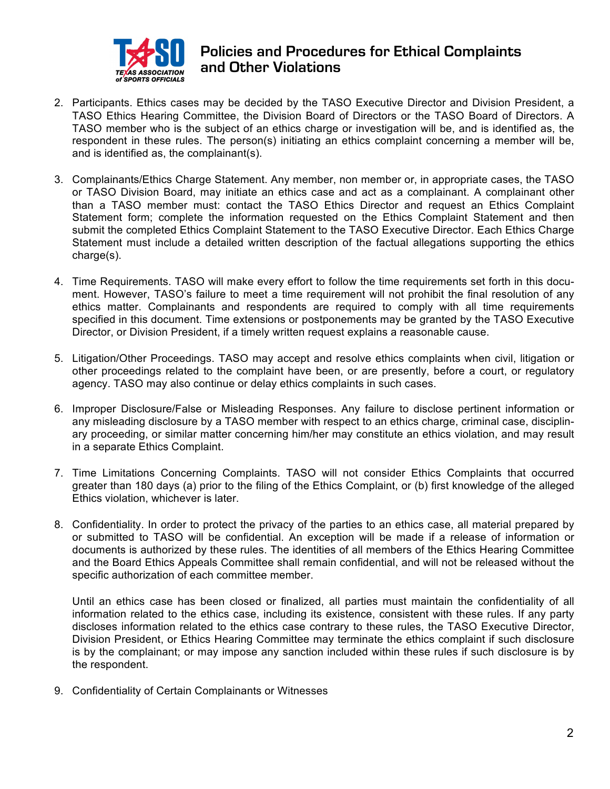

- 2. Participants. Ethics cases may be decided by the TASO Executive Director and Division President, a TASO Ethics Hearing Committee, the Division Board of Directors or the TASO Board of Directors. A TASO member who is the subject of an ethics charge or investigation will be, and is identified as, the respondent in these rules. The person(s) initiating an ethics complaint concerning a member will be, and is identified as, the complainant(s).
- 3. Complainants/Ethics Charge Statement. Any member, non member or, in appropriate cases, the TASO or TASO Division Board, may initiate an ethics case and act as a complainant. A complainant other than a TASO member must: contact the TASO Ethics Director and request an Ethics Complaint Statement form; complete the information requested on the Ethics Complaint Statement and then submit the completed Ethics Complaint Statement to the TASO Executive Director. Each Ethics Charge Statement must include a detailed written description of the factual allegations supporting the ethics charge(s).
- 4. Time Requirements. TASO will make every effort to follow the time requirements set forth in this document. However, TASO's failure to meet a time requirement will not prohibit the final resolution of any ethics matter. Complainants and respondents are required to comply with all time requirements specified in this document. Time extensions or postponements may be granted by the TASO Executive Director, or Division President, if a timely written request explains a reasonable cause.
- 5. Litigation/Other Proceedings. TASO may accept and resolve ethics complaints when civil, litigation or other proceedings related to the complaint have been, or are presently, before a court, or regulatory agency. TASO may also continue or delay ethics complaints in such cases.
- 6. Improper Disclosure/False or Misleading Responses. Any failure to disclose pertinent information or any misleading disclosure by a TASO member with respect to an ethics charge, criminal case, disciplinary proceeding, or similar matter concerning him/her may constitute an ethics violation, and may result in a separate Ethics Complaint.
- 7. Time Limitations Concerning Complaints. TASO will not consider Ethics Complaints that occurred greater than 180 days (a) prior to the filing of the Ethics Complaint, or (b) first knowledge of the alleged Ethics violation, whichever is later.
- 8. Confidentiality. In order to protect the privacy of the parties to an ethics case, all material prepared by or submitted to TASO will be confidential. An exception will be made if a release of information or documents is authorized by these rules. The identities of all members of the Ethics Hearing Committee and the Board Ethics Appeals Committee shall remain confidential, and will not be released without the specific authorization of each committee member.

Until an ethics case has been closed or finalized, all parties must maintain the confidentiality of all information related to the ethics case, including its existence, consistent with these rules. If any party discloses information related to the ethics case contrary to these rules, the TASO Executive Director, Division President, or Ethics Hearing Committee may terminate the ethics complaint if such disclosure is by the complainant; or may impose any sanction included within these rules if such disclosure is by the respondent.

9. Confidentiality of Certain Complainants or Witnesses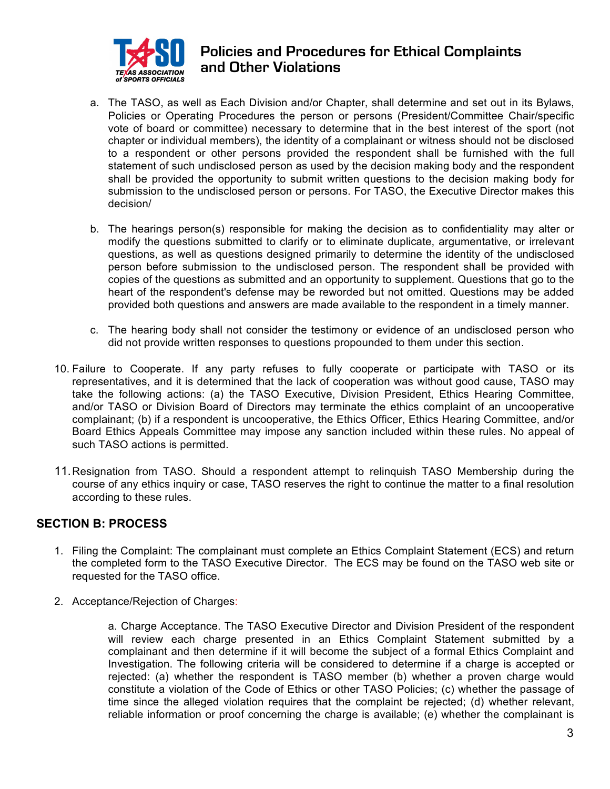

- a. The TASO, as well as Each Division and/or Chapter, shall determine and set out in its Bylaws, Policies or Operating Procedures the person or persons (President/Committee Chair/specific vote of board or committee) necessary to determine that in the best interest of the sport (not chapter or individual members), the identity of a complainant or witness should not be disclosed to a respondent or other persons provided the respondent shall be furnished with the full statement of such undisclosed person as used by the decision making body and the respondent shall be provided the opportunity to submit written questions to the decision making body for submission to the undisclosed person or persons. For TASO, the Executive Director makes this decision/
- b. The hearings person(s) responsible for making the decision as to confidentiality may alter or modify the questions submitted to clarify or to eliminate duplicate, argumentative, or irrelevant questions, as well as questions designed primarily to determine the identity of the undisclosed person before submission to the undisclosed person. The respondent shall be provided with copies of the questions as submitted and an opportunity to supplement. Questions that go to the heart of the respondent's defense may be reworded but not omitted. Questions may be added provided both questions and answers are made available to the respondent in a timely manner.
- c. The hearing body shall not consider the testimony or evidence of an undisclosed person who did not provide written responses to questions propounded to them under this section.
- 10. Failure to Cooperate. If any party refuses to fully cooperate or participate with TASO or its representatives, and it is determined that the lack of cooperation was without good cause, TASO may take the following actions: (a) the TASO Executive, Division President, Ethics Hearing Committee, and/or TASO or Division Board of Directors may terminate the ethics complaint of an uncooperative complainant; (b) if a respondent is uncooperative, the Ethics Officer, Ethics Hearing Committee, and/or Board Ethics Appeals Committee may impose any sanction included within these rules. No appeal of such TASO actions is permitted.
- 11.Resignation from TASO. Should a respondent attempt to relinquish TASO Membership during the course of any ethics inquiry or case, TASO reserves the right to continue the matter to a final resolution according to these rules.

#### **SECTION B: PROCESS**

- 1. Filing the Complaint: The complainant must complete an Ethics Complaint Statement (ECS) and return the completed form to the TASO Executive Director. The ECS may be found on the TASO web site or requested for the TASO office.
- 2. Acceptance/Rejection of Charges:

a. Charge Acceptance. The TASO Executive Director and Division President of the respondent will review each charge presented in an Ethics Complaint Statement submitted by a complainant and then determine if it will become the subject of a formal Ethics Complaint and Investigation. The following criteria will be considered to determine if a charge is accepted or rejected: (a) whether the respondent is TASO member (b) whether a proven charge would constitute a violation of the Code of Ethics or other TASO Policies; (c) whether the passage of time since the alleged violation requires that the complaint be rejected; (d) whether relevant, reliable information or proof concerning the charge is available; (e) whether the complainant is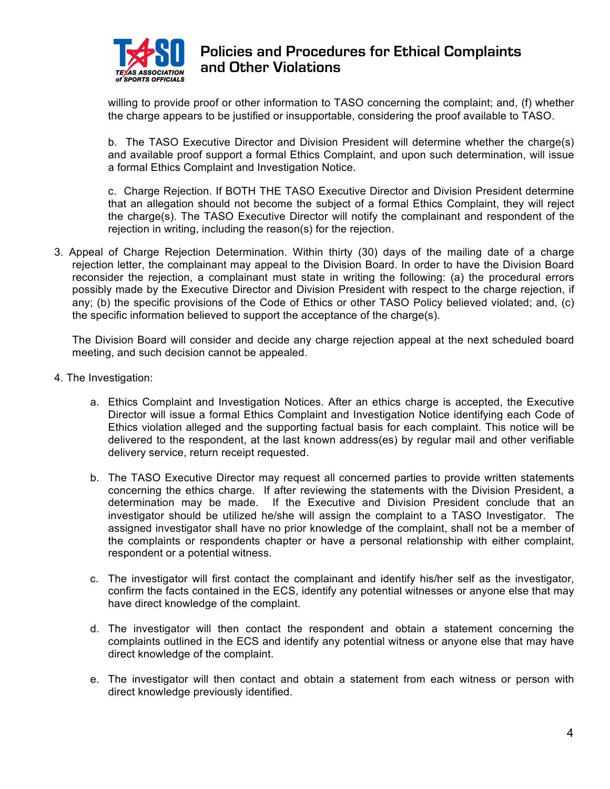

willing to provide proof or other information to TASO concerning the complaint; and, (f) whether the charge appears to be justified or insupportable, considering the proof available to TASO.

b. The TASO Executive Director and Division President will determine whether the charge(s) and available proof support a formal Ethics Complaint, and upon such determination, will issue a formal Ethics Complaint and Investigation Notice.

c. Charge Rejection. If BOTH THE TASO Executive Director and Division President determine that an allegation should not become the subject of a formal Ethics Complaint, they will reject the charge(s). The TASO Executive Director will notify the complainant and respondent of the rejection in writing, including the reason(s) for the rejection.

3. Appeal of Charge Rejection Determination. Within thirty (30) days of the mailing date of a charge rejection letter, the complainant may appeal to the Division Board. In order to have the Division Board reconsider the rejection, a complainant must state in writing the following: (a) the procedural errors possibly made by the Executive Director and Division President with respect to the charge rejection, if any; (b) the specific provisions of the Code of Ethics or other TASO Policy believed violated; and, (c) the specific information believed to support the acceptance of the charge(s).

The Division Board will consider and decide any charge rejection appeal at the next scheduled board meeting, and such decision cannot be appealed.

- 4. The Investigation:
	- a. Ethics Complaint and Investigation Notices. After an ethics charge is accepted, the Executive Director will issue a formal Ethics Complaint and Investigation Notice identifying each Code of Ethics violation alleged and the supporting factual basis for each complaint. This notice will be delivered to the respondent, at the last known address(es) by regular mail and other verifiable delivery service, return receipt requested.
	- b. The TASO Executive Director may request all concerned parties to provide written statements concerning the ethics charge. If after reviewing the statements with the Division President, a determination may be made. If the Executive and Division President conclude that an investigator should be utilized he/she will assign the complaint to a TASO Investigator. The assigned investigator shall have no prior knowledge of the complaint, shall not be a member of the complaints or respondents chapter or have a personal relationship with either complaint, respondent or a potential witness.
	- c. The investigator will first contact the complainant and identify his/her self as the investigator, confirm the facts contained in the ECS, identify any potential witnesses or anyone else that may have direct knowledge of the complaint.
	- d. The investigator will then contact the respondent and obtain a statement concerning the complaints outlined in the ECS and identify any potential witness or anyone else that may have direct knowledge of the complaint.
	- e. The investigator will then contact and obtain a statement from each witness or person with direct knowledge previously identified.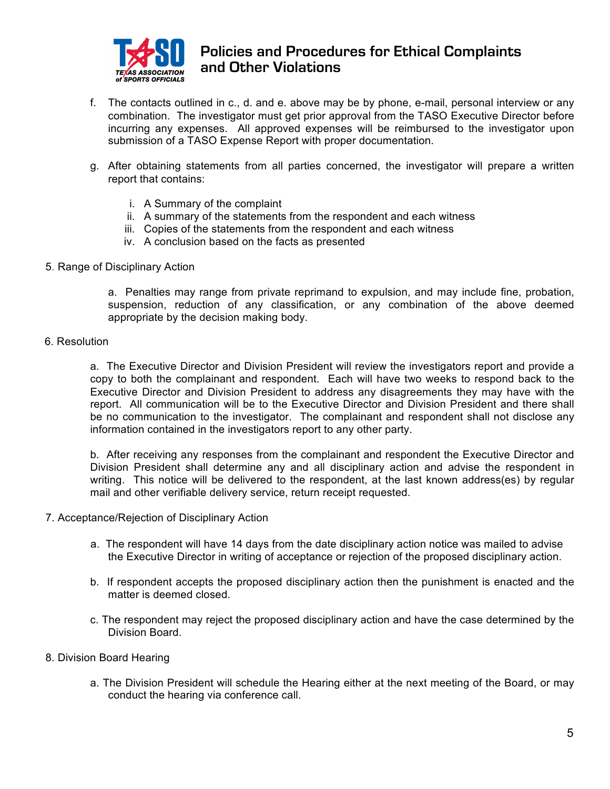

- f. The contacts outlined in c., d. and e. above may be by phone, e-mail, personal interview or any combination. The investigator must get prior approval from the TASO Executive Director before incurring any expenses. All approved expenses will be reimbursed to the investigator upon submission of a TASO Expense Report with proper documentation.
- g. After obtaining statements from all parties concerned, the investigator will prepare a written report that contains:
	- i. A Summary of the complaint
	- ii. A summary of the statements from the respondent and each witness
	- iii. Copies of the statements from the respondent and each witness
	- iv. A conclusion based on the facts as presented
- 5. Range of Disciplinary Action

a. Penalties may range from private reprimand to expulsion, and may include fine, probation, suspension, reduction of any classification, or any combination of the above deemed appropriate by the decision making body.

6. Resolution

a. The Executive Director and Division President will review the investigators report and provide a copy to both the complainant and respondent. Each will have two weeks to respond back to the Executive Director and Division President to address any disagreements they may have with the report. All communication will be to the Executive Director and Division President and there shall be no communication to the investigator. The complainant and respondent shall not disclose any information contained in the investigators report to any other party.

b. After receiving any responses from the complainant and respondent the Executive Director and Division President shall determine any and all disciplinary action and advise the respondent in writing. This notice will be delivered to the respondent, at the last known address(es) by regular mail and other verifiable delivery service, return receipt requested.

- 7. Acceptance/Rejection of Disciplinary Action
	- a. The respondent will have 14 days from the date disciplinary action notice was mailed to advise the Executive Director in writing of acceptance or rejection of the proposed disciplinary action.
	- b. If respondent accepts the proposed disciplinary action then the punishment is enacted and the matter is deemed closed.
	- c. The respondent may reject the proposed disciplinary action and have the case determined by the Division Board.
- 8. Division Board Hearing
	- a. The Division President will schedule the Hearing either at the next meeting of the Board, or may conduct the hearing via conference call.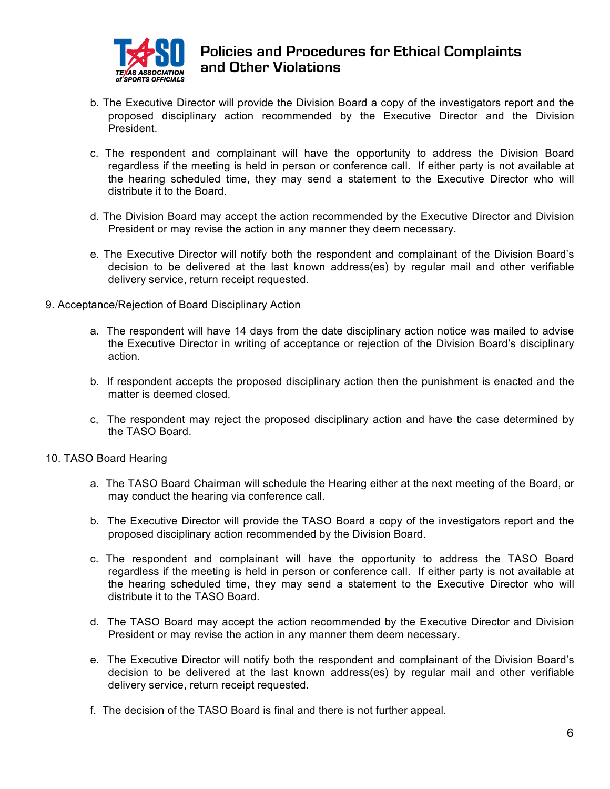

- b. The Executive Director will provide the Division Board a copy of the investigators report and the proposed disciplinary action recommended by the Executive Director and the Division President.
- c. The respondent and complainant will have the opportunity to address the Division Board regardless if the meeting is held in person or conference call. If either party is not available at the hearing scheduled time, they may send a statement to the Executive Director who will distribute it to the Board.
- d. The Division Board may accept the action recommended by the Executive Director and Division President or may revise the action in any manner they deem necessary.
- e. The Executive Director will notify both the respondent and complainant of the Division Board's decision to be delivered at the last known address(es) by regular mail and other verifiable delivery service, return receipt requested.
- 9. Acceptance/Rejection of Board Disciplinary Action
	- a. The respondent will have 14 days from the date disciplinary action notice was mailed to advise the Executive Director in writing of acceptance or rejection of the Division Board's disciplinary action.
	- b. If respondent accepts the proposed disciplinary action then the punishment is enacted and the matter is deemed closed.
	- c, The respondent may reject the proposed disciplinary action and have the case determined by the TASO Board.
- 10. TASO Board Hearing
	- a. The TASO Board Chairman will schedule the Hearing either at the next meeting of the Board, or may conduct the hearing via conference call.
	- b. The Executive Director will provide the TASO Board a copy of the investigators report and the proposed disciplinary action recommended by the Division Board.
	- c. The respondent and complainant will have the opportunity to address the TASO Board regardless if the meeting is held in person or conference call. If either party is not available at the hearing scheduled time, they may send a statement to the Executive Director who will distribute it to the TASO Board.
	- d. The TASO Board may accept the action recommended by the Executive Director and Division President or may revise the action in any manner them deem necessary.
	- e. The Executive Director will notify both the respondent and complainant of the Division Board's decision to be delivered at the last known address(es) by regular mail and other verifiable delivery service, return receipt requested.
	- f. The decision of the TASO Board is final and there is not further appeal.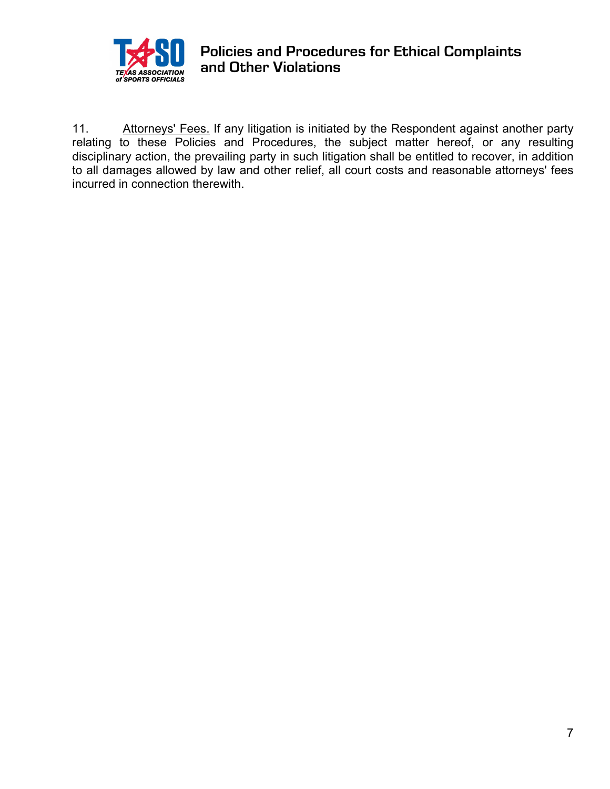

11. Attorneys' Fees. If any litigation is initiated by the Respondent against another party relating to these Policies and Procedures, the subject matter hereof, or any resulting disciplinary action, the prevailing party in such litigation shall be entitled to recover, in addition to all damages allowed by law and other relief, all court costs and reasonable attorneys' fees incurred in connection therewith.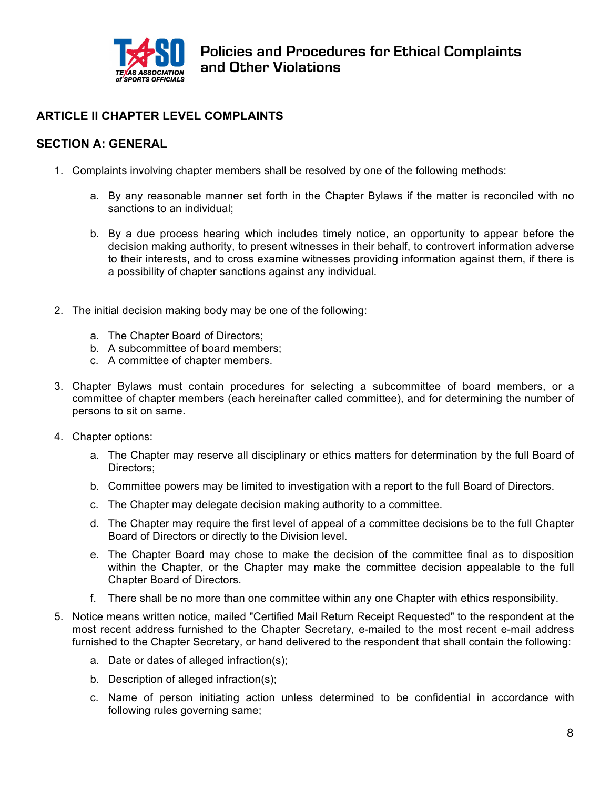

### **ARTICLE II CHAPTER LEVEL COMPLAINTS**

#### **SECTION A: GENERAL**

- 1. Complaints involving chapter members shall be resolved by one of the following methods:
	- a. By any reasonable manner set forth in the Chapter Bylaws if the matter is reconciled with no sanctions to an individual;
	- b. By a due process hearing which includes timely notice, an opportunity to appear before the decision making authority, to present witnesses in their behalf, to controvert information adverse to their interests, and to cross examine witnesses providing information against them, if there is a possibility of chapter sanctions against any individual.
- 2. The initial decision making body may be one of the following:
	- a. The Chapter Board of Directors;
	- b. A subcommittee of board members;
	- c. A committee of chapter members.
- 3. Chapter Bylaws must contain procedures for selecting a subcommittee of board members, or a committee of chapter members (each hereinafter called committee), and for determining the number of persons to sit on same.
- 4. Chapter options:
	- a. The Chapter may reserve all disciplinary or ethics matters for determination by the full Board of Directors;
	- b. Committee powers may be limited to investigation with a report to the full Board of Directors.
	- c. The Chapter may delegate decision making authority to a committee.
	- d. The Chapter may require the first level of appeal of a committee decisions be to the full Chapter Board of Directors or directly to the Division level.
	- e. The Chapter Board may chose to make the decision of the committee final as to disposition within the Chapter, or the Chapter may make the committee decision appealable to the full Chapter Board of Directors.
	- f. There shall be no more than one committee within any one Chapter with ethics responsibility.
- 5. Notice means written notice, mailed "Certified Mail Return Receipt Requested" to the respondent at the most recent address furnished to the Chapter Secretary, e-mailed to the most recent e-mail address furnished to the Chapter Secretary, or hand delivered to the respondent that shall contain the following:
	- a. Date or dates of alleged infraction(s);
	- b. Description of alleged infraction(s);
	- c. Name of person initiating action unless determined to be confidential in accordance with following rules governing same;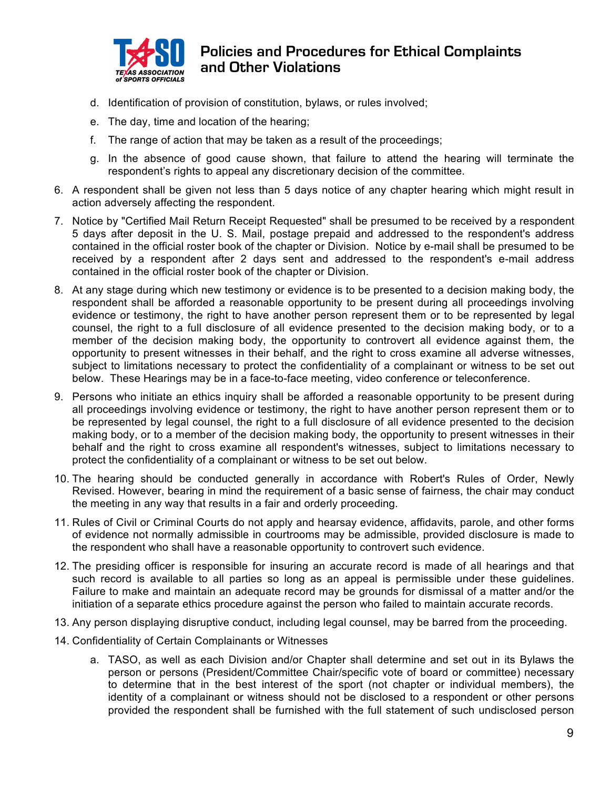

- d. Identification of provision of constitution, bylaws, or rules involved;
- e. The day, time and location of the hearing;
- f. The range of action that may be taken as a result of the proceedings;
- g. In the absence of good cause shown, that failure to attend the hearing will terminate the respondent's rights to appeal any discretionary decision of the committee.
- 6. A respondent shall be given not less than 5 days notice of any chapter hearing which might result in action adversely affecting the respondent.
- 7. Notice by "Certified Mail Return Receipt Requested" shall be presumed to be received by a respondent 5 days after deposit in the U. S. Mail, postage prepaid and addressed to the respondent's address contained in the official roster book of the chapter or Division. Notice by e-mail shall be presumed to be received by a respondent after 2 days sent and addressed to the respondent's e-mail address contained in the official roster book of the chapter or Division.
- 8. At any stage during which new testimony or evidence is to be presented to a decision making body, the respondent shall be afforded a reasonable opportunity to be present during all proceedings involving evidence or testimony, the right to have another person represent them or to be represented by legal counsel, the right to a full disclosure of all evidence presented to the decision making body, or to a member of the decision making body, the opportunity to controvert all evidence against them, the opportunity to present witnesses in their behalf, and the right to cross examine all adverse witnesses, subject to limitations necessary to protect the confidentiality of a complainant or witness to be set out below. These Hearings may be in a face-to-face meeting, video conference or teleconference.
- 9. Persons who initiate an ethics inquiry shall be afforded a reasonable opportunity to be present during all proceedings involving evidence or testimony, the right to have another person represent them or to be represented by legal counsel, the right to a full disclosure of all evidence presented to the decision making body, or to a member of the decision making body, the opportunity to present witnesses in their behalf and the right to cross examine all respondent's witnesses, subject to limitations necessary to protect the confidentiality of a complainant or witness to be set out below.
- 10. The hearing should be conducted generally in accordance with Robert's Rules of Order, Newly Revised. However, bearing in mind the requirement of a basic sense of fairness, the chair may conduct the meeting in any way that results in a fair and orderly proceeding.
- 11. Rules of Civil or Criminal Courts do not apply and hearsay evidence, affidavits, parole, and other forms of evidence not normally admissible in courtrooms may be admissible, provided disclosure is made to the respondent who shall have a reasonable opportunity to controvert such evidence.
- 12. The presiding officer is responsible for insuring an accurate record is made of all hearings and that such record is available to all parties so long as an appeal is permissible under these guidelines. Failure to make and maintain an adequate record may be grounds for dismissal of a matter and/or the initiation of a separate ethics procedure against the person who failed to maintain accurate records.
- 13. Any person displaying disruptive conduct, including legal counsel, may be barred from the proceeding.
- 14. Confidentiality of Certain Complainants or Witnesses
	- a. TASO, as well as each Division and/or Chapter shall determine and set out in its Bylaws the person or persons (President/Committee Chair/specific vote of board or committee) necessary to determine that in the best interest of the sport (not chapter or individual members), the identity of a complainant or witness should not be disclosed to a respondent or other persons provided the respondent shall be furnished with the full statement of such undisclosed person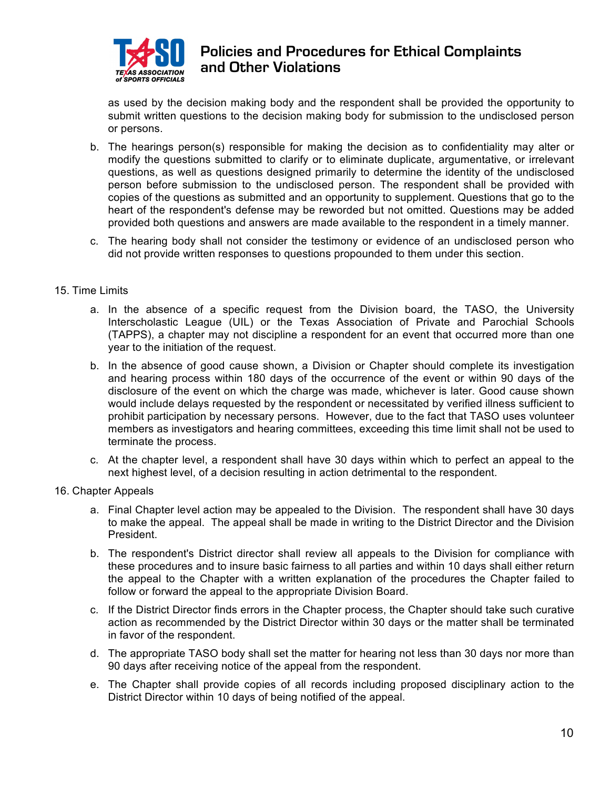

as used by the decision making body and the respondent shall be provided the opportunity to submit written questions to the decision making body for submission to the undisclosed person or persons.

- b. The hearings person(s) responsible for making the decision as to confidentiality may alter or modify the questions submitted to clarify or to eliminate duplicate, argumentative, or irrelevant questions, as well as questions designed primarily to determine the identity of the undisclosed person before submission to the undisclosed person. The respondent shall be provided with copies of the questions as submitted and an opportunity to supplement. Questions that go to the heart of the respondent's defense may be reworded but not omitted. Questions may be added provided both questions and answers are made available to the respondent in a timely manner.
- c. The hearing body shall not consider the testimony or evidence of an undisclosed person who did not provide written responses to questions propounded to them under this section.

#### 15. Time Limits

- a. In the absence of a specific request from the Division board, the TASO, the University Interscholastic League (UIL) or the Texas Association of Private and Parochial Schools (TAPPS), a chapter may not discipline a respondent for an event that occurred more than one year to the initiation of the request.
- b. In the absence of good cause shown, a Division or Chapter should complete its investigation and hearing process within 180 days of the occurrence of the event or within 90 days of the disclosure of the event on which the charge was made, whichever is later. Good cause shown would include delays requested by the respondent or necessitated by verified illness sufficient to prohibit participation by necessary persons. However, due to the fact that TASO uses volunteer members as investigators and hearing committees, exceeding this time limit shall not be used to terminate the process.
- c. At the chapter level, a respondent shall have 30 days within which to perfect an appeal to the next highest level, of a decision resulting in action detrimental to the respondent.

#### 16. Chapter Appeals

- a. Final Chapter level action may be appealed to the Division. The respondent shall have 30 days to make the appeal. The appeal shall be made in writing to the District Director and the Division President.
- b. The respondent's District director shall review all appeals to the Division for compliance with these procedures and to insure basic fairness to all parties and within 10 days shall either return the appeal to the Chapter with a written explanation of the procedures the Chapter failed to follow or forward the appeal to the appropriate Division Board.
- c. If the District Director finds errors in the Chapter process, the Chapter should take such curative action as recommended by the District Director within 30 days or the matter shall be terminated in favor of the respondent.
- d. The appropriate TASO body shall set the matter for hearing not less than 30 days nor more than 90 days after receiving notice of the appeal from the respondent.
- e. The Chapter shall provide copies of all records including proposed disciplinary action to the District Director within 10 days of being notified of the appeal.